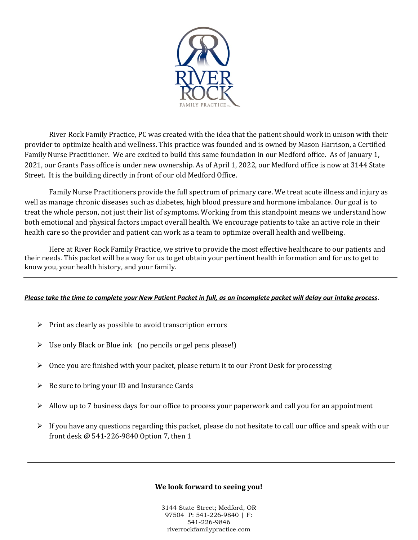

River Rock Family Practice, PC was created with the idea that the patient should work in unison with their provider to optimize health and wellness. This practice was founded and is owned by Mason Harrison, a Certified Family Nurse Practitioner. We are excited to build this same foundation in our Medford office. As of January 1, 2021, our Grants Pass office is under new ownership. As of April 1, 2022, our Medford office is now at 3144 State Street. It is the building directly in front of our old Medford Office.

Family Nurse Practitioners provide the full spectrum of primary care. We treat acute illness and injury as well as manage chronic diseases such as diabetes, high blood pressure and hormone imbalance. Our goal is to treat the whole person, not just their list of symptoms. Working from this standpoint means we understand how both emotional and physical factors impact overall health. We encourage patients to take an active role in their health care so the provider and patient can work as a team to optimize overall health and wellbeing.

Here at River Rock Family Practice, we strive to provide the most effective healthcare to our patients and their needs. This packet will be a way for us to get obtain your pertinent health information and for us to get to know you, your health history, and your family.

#### *Please take the time to complete your New Patient Packet in full, as an incomplete packet will delay our intake process*.

- $\triangleright$  Print as clearly as possible to avoid transcription errors
- $\triangleright$  Use only Black or Blue ink (no pencils or gel pens please!)
- $\triangleright$  Once you are finished with your packet, please return it to our Front Desk for processing
- $\triangleright$  Be sure to bring your ID and Insurance Cards
- $\triangleright$  Allow up to 7 business days for our office to process your paperwork and call you for an appointment
- $\triangleright$  If you have any questions regarding this packet, please do not hesitate to call our office and speak with our front desk @ 541-226-9840 Option 7, then 1

#### **We look forward to seeing you!**

3144 State Street; Medford, OR 97504 P: 541-226-9840 | F: 541-226-9846 riverrockfamilypractice.com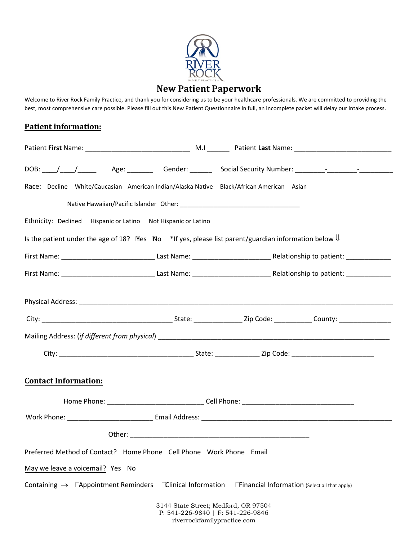

# **New Patient Paperwork**

Welcome to River Rock Family Practice, and thank you for considering us to be your healthcare professionals. We are committed to providing the best, most comprehensive care possible. Please fill out this New Patient Questionnaire in full, an incomplete packet will delay our intake process.

# **Patient information:**

| Race: Decline White/Caucasian American Indian/Alaska Native Black/African American Asian                                              |  |  |  |  |  |  |  |  |
|---------------------------------------------------------------------------------------------------------------------------------------|--|--|--|--|--|--|--|--|
|                                                                                                                                       |  |  |  |  |  |  |  |  |
| Ethnicity: Declined Hispanic or Latino Not Hispanic or Latino                                                                         |  |  |  |  |  |  |  |  |
| Is the patient under the age of 18? $\degree$ No $\degree$ *If yes, please list parent/guardian information below $\Downarrow$        |  |  |  |  |  |  |  |  |
|                                                                                                                                       |  |  |  |  |  |  |  |  |
|                                                                                                                                       |  |  |  |  |  |  |  |  |
|                                                                                                                                       |  |  |  |  |  |  |  |  |
|                                                                                                                                       |  |  |  |  |  |  |  |  |
|                                                                                                                                       |  |  |  |  |  |  |  |  |
|                                                                                                                                       |  |  |  |  |  |  |  |  |
| <b>Contact Information:</b>                                                                                                           |  |  |  |  |  |  |  |  |
|                                                                                                                                       |  |  |  |  |  |  |  |  |
|                                                                                                                                       |  |  |  |  |  |  |  |  |
|                                                                                                                                       |  |  |  |  |  |  |  |  |
| Preferred Method of Contact? Home Phone Cell Phone Work Phone Email                                                                   |  |  |  |  |  |  |  |  |
| May we leave a voicemail? Yes No                                                                                                      |  |  |  |  |  |  |  |  |
| <b>Clinical Information</b><br>Containing $\rightarrow$ <b>Appointment Reminders</b><br>Financial Information (Select all that apply) |  |  |  |  |  |  |  |  |
| 3144 State Street; Medford, OR 97504<br>P: 541-226-9840   F: 541-226-9846<br>riverrockfamilypractice.com                              |  |  |  |  |  |  |  |  |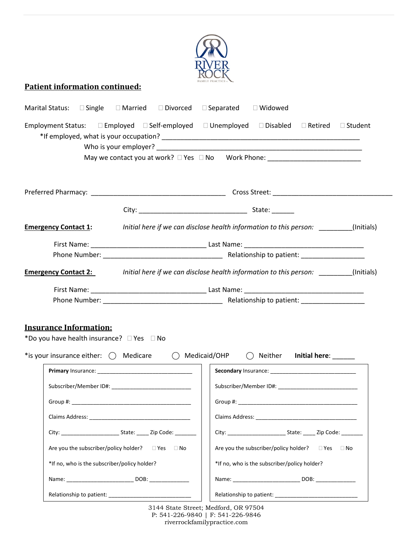

# **Patient information continued:**

| Marital Status: □ Single □ Married □ Divorced □ Separated □ Widowed                                              |                                                                                  |  |  |                                                                 |  |           |  |  |
|------------------------------------------------------------------------------------------------------------------|----------------------------------------------------------------------------------|--|--|-----------------------------------------------------------------|--|-----------|--|--|
| Employment Status: □ Employed □ Self-employed                                                                    |                                                                                  |  |  | $\Box$ Unemployed $\Box$ Disabled $\Box$ Retired $\Box$ Student |  |           |  |  |
| May we contact you at work? $\square$ Yes $\square$ No Work Phone:                                               |                                                                                  |  |  |                                                                 |  |           |  |  |
|                                                                                                                  |                                                                                  |  |  |                                                                 |  |           |  |  |
|                                                                                                                  |                                                                                  |  |  |                                                                 |  |           |  |  |
|                                                                                                                  |                                                                                  |  |  |                                                                 |  |           |  |  |
|                                                                                                                  |                                                                                  |  |  |                                                                 |  |           |  |  |
| <b>Emergency Contact 1:</b>                                                                                      | Initial here if we can disclose health information to this person: (Initials)    |  |  |                                                                 |  |           |  |  |
|                                                                                                                  |                                                                                  |  |  |                                                                 |  |           |  |  |
|                                                                                                                  |                                                                                  |  |  |                                                                 |  |           |  |  |
| <b>Emergency Contact 2:</b> <i>Initial here if we can disclose health information to this person:</i> (Initials) |                                                                                  |  |  |                                                                 |  |           |  |  |
|                                                                                                                  |                                                                                  |  |  |                                                                 |  |           |  |  |
|                                                                                                                  |                                                                                  |  |  |                                                                 |  |           |  |  |
|                                                                                                                  |                                                                                  |  |  |                                                                 |  |           |  |  |
| <b>Insurance Information:</b>                                                                                    |                                                                                  |  |  |                                                                 |  |           |  |  |
| *Do you have health insurance? DYes DNo                                                                          |                                                                                  |  |  |                                                                 |  |           |  |  |
| *is your insurance either: $\bigcirc$ Medicare $\bigcirc$ Medicaid/OHP $\bigcirc$ Neither Initial here:          |                                                                                  |  |  |                                                                 |  |           |  |  |
|                                                                                                                  |                                                                                  |  |  |                                                                 |  |           |  |  |
|                                                                                                                  | Subscriber/Member ID#: ______________________________                            |  |  |                                                                 |  |           |  |  |
|                                                                                                                  |                                                                                  |  |  |                                                                 |  |           |  |  |
|                                                                                                                  |                                                                                  |  |  |                                                                 |  |           |  |  |
|                                                                                                                  |                                                                                  |  |  |                                                                 |  |           |  |  |
|                                                                                                                  | Are you the subscriber/policy holder? $\square$ Yes $\square$ No                 |  |  | Are you the subscriber/policy holder? $\square$ Yes             |  | $\Box$ No |  |  |
| *If no, who is the subscriber/policy holder?                                                                     |                                                                                  |  |  | *If no, who is the subscriber/policy holder?                    |  |           |  |  |
|                                                                                                                  | Name: __________________________________ DOB: __________________________________ |  |  |                                                                 |  |           |  |  |
|                                                                                                                  |                                                                                  |  |  |                                                                 |  |           |  |  |

3144 State Street; Medford, OR 97504 P: 541-226-9840 | F: 541-226-9846 riverrockfamilypractice.com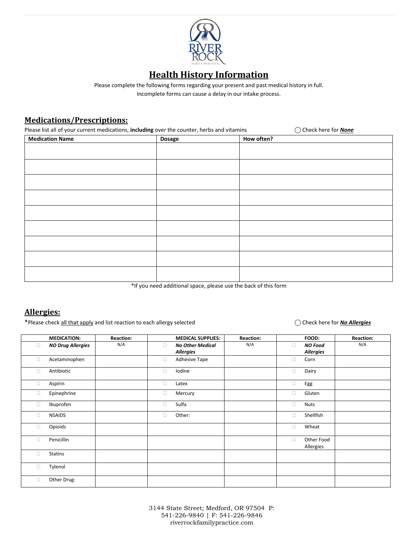

# **Health History Information**

Please complete the following forms regarding your present and past medical history in full. Incomplete forms can cause a delay in our intake process.

#### **Medications/Prescriptions:**

Please list all of your current medications, **including** over the counter, herbs and vitamins  $\bigcirc$  Check here for **None** 

| <b>Medication Name</b> | Dosage | How often? |
|------------------------|--------|------------|
|                        |        |            |
|                        |        |            |
|                        |        |            |
|                        |        |            |
|                        |        |            |
|                        |        |            |
|                        |        |            |
|                        |        |            |
|                        |        |            |
|                        |        |            |
|                        |        |            |

\*If you need additional space, please use the back of this form

#### **Allergies:**

\*Please check all that apply and list reaction to each allergy selected  $\bigcirc$  Check here for *No Allergies* 

|        | <b>MEDICATION:</b>       | <b>Reaction:</b> |        | <b>MEDICAL SUPPLIES:</b>                    | <b>Reaction:</b> |        | FOOD:                              | <b>Reaction:</b> |
|--------|--------------------------|------------------|--------|---------------------------------------------|------------------|--------|------------------------------------|------------------|
| $\Box$ | <b>NO Drug Allergies</b> | N/A              | п      | <b>No Other Medical</b><br><b>Allergies</b> | N/A              | о      | <b>NO Food</b><br><b>Allergies</b> | N/A              |
| □      | Acetaminophen            |                  | $\Box$ | Adhesive Tape                               |                  | о      | Corn                               |                  |
| $\Box$ | Antibiotic               |                  | $\Box$ | Iodine                                      |                  | $\Box$ | Dairy                              |                  |
| Ω      | Aspirin                  |                  | O      | Latex                                       |                  | 0      | Egg                                |                  |
| $\Box$ | Epinephrine              |                  | $\Box$ | Mercury                                     |                  | $\Box$ | Gluten                             |                  |
| $\Box$ | Ibuprofen                |                  | Ω      | Sulfa                                       |                  | о      | <b>Nuts</b>                        |                  |
| $\Box$ | <b>NSAIDS</b>            |                  | 0      | Other:                                      |                  | 0      | Shellfish                          |                  |
| $\Box$ | Opioids                  |                  |        |                                             |                  | о      | Wheat                              |                  |
| $\Box$ | Penicillin               |                  |        |                                             |                  | о      | Other Food<br>Allergies            |                  |
| П      | <b>Statins</b>           |                  |        |                                             |                  |        |                                    |                  |
| $\Box$ | Tylenol                  |                  |        |                                             |                  |        |                                    |                  |
| □      | Other Drug:              |                  |        |                                             |                  |        |                                    |                  |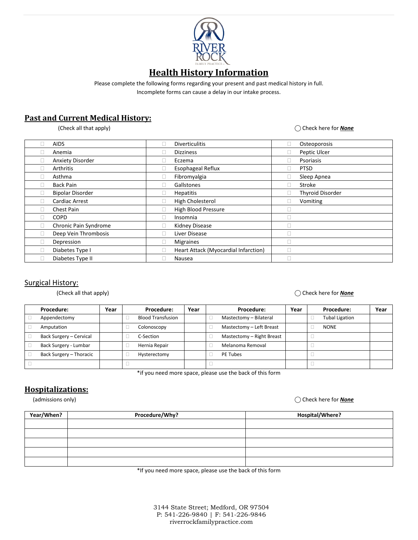

# **Health History Information**

Please complete the following forms regarding your present and past medical history in full.

Incomplete forms can cause a delay in our intake process.

# **Past and Current Medical History:**

(Check all that apply)  $\bigcirc$  Check here for **None** 

|   | <b>AIDS</b>             | $\Box$ | <b>Diverticulitis</b>                | ш            | Osteoporosis            |
|---|-------------------------|--------|--------------------------------------|--------------|-------------------------|
|   | Anemia                  |        | <b>Dizziness</b>                     |              | Peptic Ulcer            |
|   | <b>Anxiety Disorder</b> | $\Box$ | Eczema                               | u            | Psoriasis               |
|   | Arthritis               |        | <b>Esophageal Reflux</b>             |              | <b>PTSD</b>             |
|   | Asthma                  |        | Fibromyalgia                         |              | Sleep Apnea             |
| П | <b>Back Pain</b>        | $\Box$ | Gallstones                           | $\mathbf{L}$ | Stroke                  |
|   | <b>Bipolar Disorder</b> |        | <b>Hepatitis</b>                     | □            | <b>Thyroid Disorder</b> |
| П | Cardiac Arrest          |        | High Cholesterol                     | ш            | Vomiting                |
|   | Chest Pain              |        | High Blood Pressure                  | Ш            |                         |
| П | <b>COPD</b>             | $\Box$ | Insomnia                             | п            |                         |
| П | Chronic Pain Syndrome   |        | Kidney Disease                       | п            |                         |
| Ш | Deep Vein Thrombosis    |        | Liver Disease                        | П            |                         |
| г | Depression              |        | <b>Migraines</b>                     | П            |                         |
|   | Diabetes Type I         |        | Heart Attack (Myocardial Infarction) |              |                         |
|   | Diabetes Type II        |        | Nausea                               |              |                         |

#### Surgical History:

#### (Check all that apply) ⃝ Check here for *None*

| <b>Procedure:</b>       | Year | Procedure:               | Year | <b>Procedure:</b>         | Year | Procedure:            | Year |
|-------------------------|------|--------------------------|------|---------------------------|------|-----------------------|------|
| Appendectomy            |      | <b>Blood Transfusion</b> |      | Mastectomy - Bilateral    |      | <b>Tubal Ligation</b> |      |
| Amputation              |      | Colonoscopy              |      | Mastectomy - Left Breast  |      | <b>NONE</b>           |      |
| Back Surgery - Cervical |      | C-Section                |      | Mastectomy - Right Breast |      |                       |      |
| Back Surgery - Lumbar   |      | Hernia Repair            |      | Melanoma Removal          |      |                       |      |
| Back Surgery - Thoracic |      | Hysterectomy             |      | PE Tubes                  |      |                       |      |
|                         |      |                          |      |                           |      |                       |      |

\*if you need more space, please use the back of this form

## **Hospitalizations:**

(admissions only) ⃝ Check here for *None*

| Year/When? | Procedure/Why? | Hospital/Where? |
|------------|----------------|-----------------|
|            |                |                 |
|            |                |                 |
|            |                |                 |
|            |                |                 |
|            |                |                 |

\*If you need more space, please use the back of this form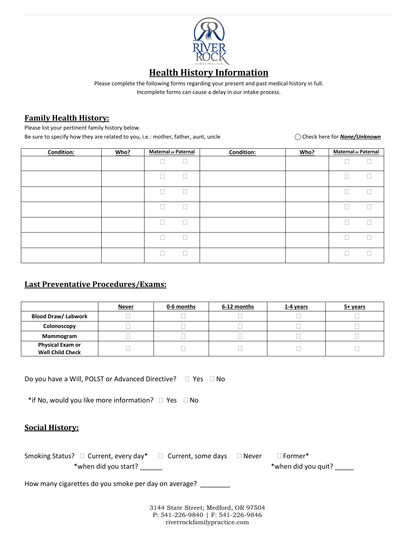

# **Health History Information**

Please complete the following forms regarding your present and past medical history in full.

Incomplete forms can cause a delay in our intake process.

## **Family Health History:**

Please list your pertinent family history below.

Be sure to specify how they are related to you, i.e.: mother, father, aunt, uncle  $\bigcirc$  Check here for *None/Unknown* 

| Condition: | Who? | <b>Maternal or Paternal</b> | <b>Condition:</b> | Who? | <b>Maternal or Paternal</b> |
|------------|------|-----------------------------|-------------------|------|-----------------------------|
|            |      |                             |                   |      |                             |
|            |      |                             |                   |      |                             |
|            |      |                             |                   |      |                             |
|            |      |                             |                   |      |                             |
|            |      |                             |                   |      |                             |
|            |      |                             |                   |      |                             |
|            |      |                             |                   |      |                             |

# **Last Preventative Procedures/Exams:**

|                                                    | <u>Never</u> | 0-6 months | 6-12 months | 1-4 years | 5+ years |
|----------------------------------------------------|--------------|------------|-------------|-----------|----------|
| <b>Blood Draw/ Labwork</b>                         |              |            |             |           |          |
| Colonoscopy                                        |              |            |             |           |          |
| Mammogram                                          |              |            |             |           |          |
| <b>Physical Exam or</b><br><b>Well Child Check</b> |              |            |             |           |          |

Do you have a Will, POLST or Advanced Directive?  $\Box$  Yes  $\Box$  No

\*if No, would you like more information?  $\Box$  Yes  $\Box$  No

### **Social History:**

| Smoking Status? $\Box$ Current, every day* $\Box$ Current, some days $\Box$ Never |  | $\Box$ Former*      |
|-----------------------------------------------------------------------------------|--|---------------------|
| *when did you start?                                                              |  | *when did you quit? |

How many cigarettes do you smoke per day on average?

3144 State Street; Medford, OR 97504 P: 541-226-9840 | F: 541-226-9846 riverrockfamilypractice.com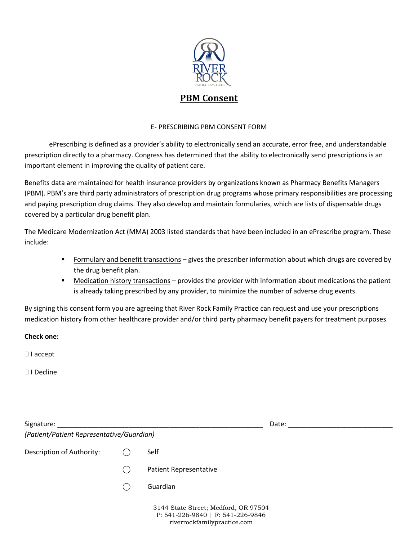

# **PBM Consent**

#### E- PRESCRIBING PBM CONSENT FORM

ePrescribing is defined as a provider's ability to electronically send an accurate, error free, and understandable prescription directly to a pharmacy. Congress has determined that the ability to electronically send prescriptions is an important element in improving the quality of patient care.

Benefits data are maintained for health insurance providers by organizations known as Pharmacy Benefits Managers (PBM). PBM's are third party administrators of prescription drug programs whose primary responsibilities are processing and paying prescription drug claims. They also develop and maintain formularies, which are lists of dispensable drugs covered by a particular drug benefit plan.

The Medicare Modernization Act (MMA) 2003 listed standards that have been included in an ePrescribe program. These include:

- Formulary and benefit transactions gives the prescriber information about which drugs are covered by the drug benefit plan.
- **Medication history transactions provides the provider with information about medications the patient** is already taking prescribed by any provider, to minimize the number of adverse drug events.

By signing this consent form you are agreeing that River Rock Family Practice can request and use your prescriptions medication history from other healthcare provider and/or third party pharmacy benefit payers for treatment purposes.

#### **Check one:**

□ I accept

□ I Decline

| Signature:                                | Date: |                                                                                                              |  |  |  |  |  |
|-------------------------------------------|-------|--------------------------------------------------------------------------------------------------------------|--|--|--|--|--|
| (Patient/Patient Representative/Guardian) |       |                                                                                                              |  |  |  |  |  |
| Description of Authority:                 |       | Self                                                                                                         |  |  |  |  |  |
|                                           |       | <b>Patient Representative</b>                                                                                |  |  |  |  |  |
|                                           |       | <b>Guardian</b>                                                                                              |  |  |  |  |  |
|                                           |       | 3144 State Street; Medford, OR 97504<br>P: $541-226-9840$   F: $541-226-9846$<br>riverrockfamilypractice.com |  |  |  |  |  |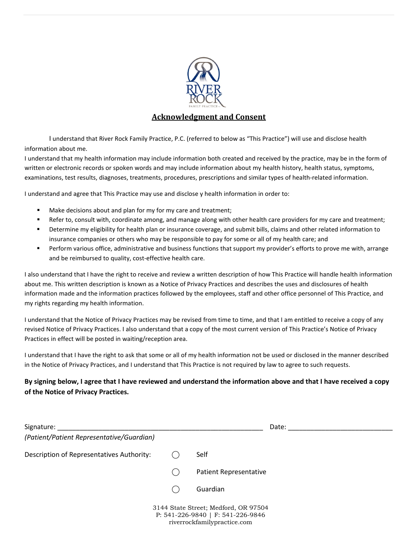

### **Acknowledgment and Consent**

I understand that River Rock Family Practice, P.C. (referred to below as "This Practice") will use and disclose health information about me.

I understand that my health information may include information both created and received by the practice, may be in the form of written or electronic records or spoken words and may include information about my health history, health status, symptoms, examinations, test results, diagnoses, treatments, procedures, prescriptions and similar types of health-related information.

I understand and agree that This Practice may use and disclose y health information in order to:

- **Make decisions about and plan for my for my care and treatment;**
- Refer to, consult with, coordinate among, and manage along with other health care providers for my care and treatment;
- Determine my eligibility for health plan or insurance coverage, and submit bills, claims and other related information to insurance companies or others who may be responsible to pay for some or all of my health care; and
- Perform various office, administrative and business functions that support my provider's efforts to prove me with, arrange and be reimbursed to quality, cost-effective health care.

I also understand that I have the right to receive and review a written description of how This Practice will handle health information about me. This written description is known as a Notice of Privacy Practices and describes the uses and disclosures of health information made and the information practices followed by the employees, staff and other office personnel of This Practice, and my rights regarding my health information.

I understand that the Notice of Privacy Practices may be revised from time to time, and that I am entitled to receive a copy of any revised Notice of Privacy Practices. I also understand that a copy of the most current version of This Practice's Notice of Privacy Practices in effect will be posted in waiting/reception area.

I understand that I have the right to ask that some or all of my health information not be used or disclosed in the manner described in the Notice of Privacy Practices, and I understand that This Practice is not required by law to agree to such requests.

#### **By signing below, I agree that I have reviewed and understand the information above and that I have received a copy of the Notice of Privacy Practices.**

| Signature:                                |                                                                                                              | Date:                         |
|-------------------------------------------|--------------------------------------------------------------------------------------------------------------|-------------------------------|
| (Patient/Patient Representative/Guardian) |                                                                                                              |                               |
| Description of Representatives Authority: |                                                                                                              | Self                          |
|                                           |                                                                                                              | <b>Patient Representative</b> |
|                                           |                                                                                                              | Guardian                      |
|                                           | 3144 State Street; Medford, OR 97504<br>P: $541-226-9840$   F: $541-226-9846$<br>riverrockfamilypractice.com |                               |